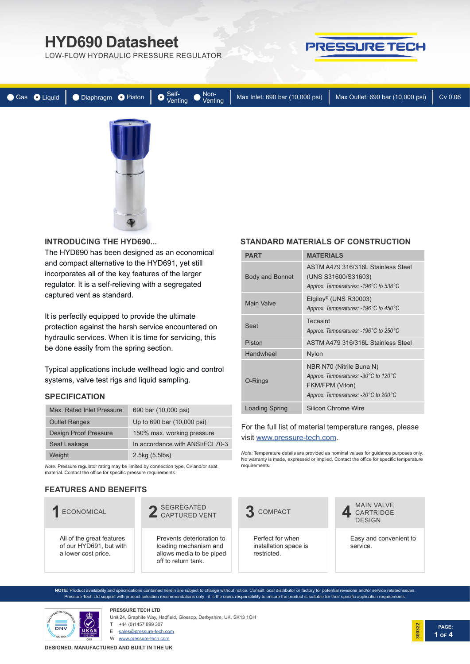LOW-FLOW HYDRAULIC PRESSURE REGULATOR



|  |  |  | ● Gas ● Liquid   ● Diaphragm ● Piston   ● Venting ● Venting   Max Inlet: 690 bar (10,000 psi)   Max Outlet: 690 bar (10,000 psi) | Cv 0.06 |
|--|--|--|----------------------------------------------------------------------------------------------------------------------------------|---------|
|  |  |  |                                                                                                                                  |         |
|  |  |  |                                                                                                                                  |         |
|  |  |  |                                                                                                                                  |         |

#### **INTRODUCING THE HYD690...**

The HYD690 has been designed as an economical and compact alternative to the HYD691, yet still incorporates all of the key features of the larger regulator. It is a self-relieving with a segregated captured vent as standard.

It is perfectly equipped to provide the ultimate protection against the harsh service encountered on hydraulic services. When it is time for servicing, this be done easily from the spring section.

Typical applications include wellhead logic and control systems, valve test rigs and liquid sampling.

#### **SPECIFICATION**

| Max. Rated Inlet Pressure | 690 bar (10,000 psi)             |
|---------------------------|----------------------------------|
| <b>Outlet Ranges</b>      | Up to 690 bar (10,000 psi)       |
| Design Proof Pressure     | 150% max. working pressure       |
| Seat Leakage              | In accordance with ANSI/FCI 70-3 |
| Weight                    | 2.5kg (5.5lbs)                   |

*Note:* Pressure regulator rating may be limited by connection type, Cv and/or seat material. Contact the office for specific pressure requirements.

### **FEATURES AND BENEFITS**

#### All of the great features of our HYD691, but with a lower cost price. **1**ECONOMICAL Prevents deterioration to loading mechanism and allows media to be piped off to return tank. 2 SEGREGATED<br>2 CAPTURED VENT Perfect for when installation space is restricted. **3** COMPACT Easy and convenient to service. MAIN VALVE **4** CARTRIDGE DESIGN

**NOTE:** Product availability and specifications contained herein are subject to change without notice. Consult local distributor or factory for potential revisions and/or service related issues. Pressure Tech Ltd support with product selection recommendations only - it is the users responsibility to ensure the product is suitable for their specific application requirements.



**PRESSURE TECH LTD** Unit 24, Graphite Way, Hadfield, Glossop, Derbyshire, UK, SK13 1QH

+44 (0)1457 899 307

E sales@pressure-tech.com

W www.pressure-tech.com

**DESIGNED, MANUFACTURED AND BUILT IN THE UK**

# **STANDARD MATERIALS OF CONSTRUCTION**

| PART                   | <b>MATERIALS</b>                                                                                                            |
|------------------------|-----------------------------------------------------------------------------------------------------------------------------|
| <b>Body and Bonnet</b> | ASTM A479 316/316L Stainless Steel<br>(UNS S31600/S31603)<br>Approx. Temperatures: -196°C to 538°C                          |
| Main Valve             | Elgiloy <sup>®</sup> (UNS R30003)<br>Approx. Temperatures: -196°C to 450°C                                                  |
| Seat                   | Tecasint<br>Approx. Temperatures: -196°C to 250°C                                                                           |
| Piston                 | ASTM A479 316/316L Stainless Steel                                                                                          |
| Handwheel              | <b>Nylon</b>                                                                                                                |
| O-Rings                | NBR N70 (Nitrile Buna N)<br>Approx. Temperatures: -30°C to 120°C<br>FKM/FPM (Viton)<br>Approx. Temperatures: -20°C to 200°C |
| <b>Loading Spring</b>  | Silicon Chrome Wire                                                                                                         |

#### For the full list of material temperature ranges, please visit www.pressure-tech.com.

*Note:* Temperature details are provided as nominal values for guidance purposes only. No warranty is made, expressed or implied. Contact the office for specific temperature requirements.

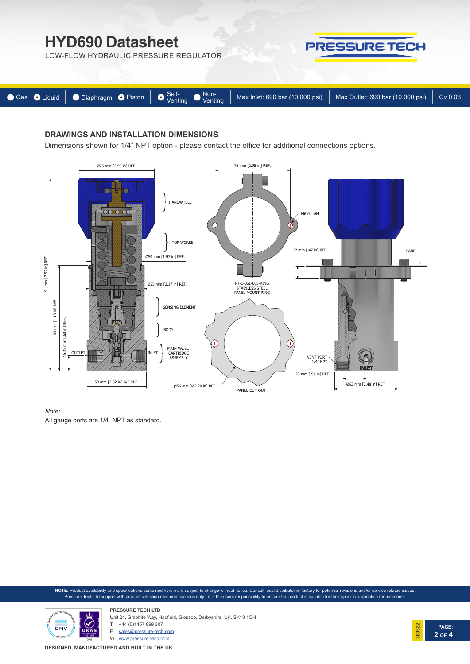LOW-FLOW HYDRAULIC PRESSURE REGULATOR



**PRESSURE TECH** 

# **DRAWINGS AND INSTALLATION DIMENSIONS**

Dimensions shown for 1/4" NPT option - please contact the office for additional connections options.



*Note:* 

All gauge ports are 1/4" NPT as standard.

**NOTE:** Product availability and specifications contained herein are subject to change without notice. Consult local distributor or factory for potential revisions and/or service related issues. Pressure Tech Ltd support with product selection recommendations only - it is the users responsibility to ensure the product is suitable for their specific application requirements.



**PRESSURE TECH LTD** Unit 24, Graphite Way, Hadfield, Glossop, Derbyshire, UK, SK13 1QH +44 (0)1457 899 307

E sales@pressure-tech.com

W www.pressure-tech.com

**DESIGNED, MANUFACTURED AND BUILT IN THE UK**

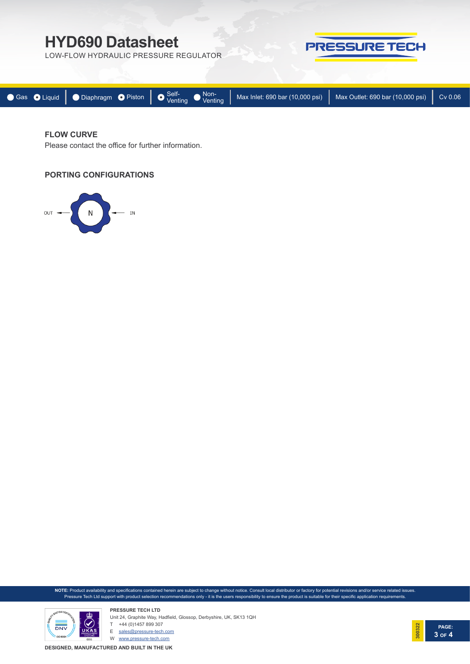LOW-FLOW HYDRAULIC PRESSURE REGULATOR



| ● Gas ● Liquid   ● Diaphragm ● Piston   ● Self-<br>Venting ● Max Inlet: 690 bar (10,000 psi)   Cv 0.06 |  |  |  |
|--------------------------------------------------------------------------------------------------------|--|--|--|
|                                                                                                        |  |  |  |

## **FLOW CURVE**

Please contact the office for further information.

#### **PORTING CONFIGURATIONS**



**NOTE:** Product availability and specifications contained herein are subject to change without notice. Consult local distributor or factory for potential revisions and/or service related issues. Pressure Tech Ltd support with product selection recommendations only - it is the users responsibility to ensure the product is suitable for their specific application requirements.



**PRESSURE TECH LTD** Unit 24, Graphite Way, Hadfield, Glossop, Derbyshire, UK, SK13 1QH T +44 (0)1457 899 307

E sales@pressure-tech.com

W www.pressure-tech.com

**DESIGNED, MANUFACTURED AND BUILT IN THE UK**